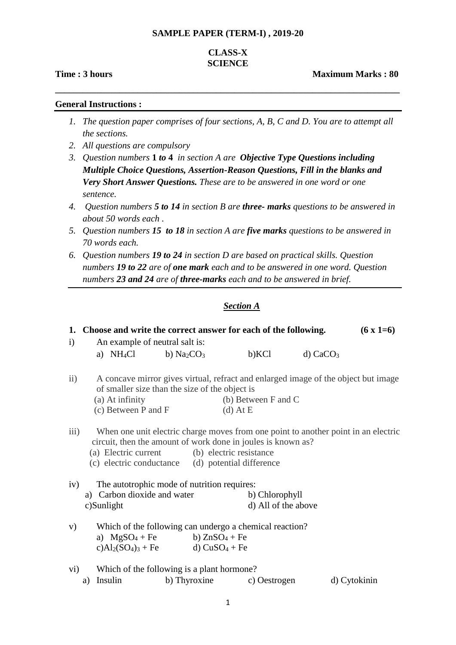#### **SAMPLE PAPER (TERM-I) , 2019-20**

# **CLASS-X SCIENCE**

**\_\_\_\_\_\_\_\_\_\_\_\_\_\_\_\_\_\_\_\_\_\_\_\_\_\_\_\_\_\_\_\_\_\_\_\_\_\_\_\_\_\_\_\_\_\_\_\_\_\_\_\_\_\_\_\_\_\_\_\_\_\_\_\_\_\_\_\_\_\_\_\_\_\_\_**

**Time : 3 hours Community Community Community Community Community Community Community Community Community Community Community Community Community Community Community Community Community Community Community Community Commun** 

#### **General Instructions :**

- *1. The question paper comprises of four sections, A, B, C and D. You are to attempt all the sections.*
- *2. All questions are compulsory*
- *3. Question numbers* **1** *to* **4** *in section A are Objective Type Questions including Multiple Choice Questions, Assertion-Reason Questions, Fill in the blanks and Very Short Answer Questions. These are to be answered in one word or one sentence.*
- *4. Question numbers 5 to 14 in section B are three- marks questions to be answered in about 50 words each .*
- *5. Question numbers 15 to 18 in section A are five marks questions to be answered in 70 words each.*
- *6. Question numbers 19 to 24 in section D are based on practical skills. Question numbers 19 to 22 are of one mark each and to be answered in one word. Question numbers 23 and 24 are of three-marks each and to be answered in brief.*

# *Section A*

|                         | 1. Choose and write the correct answer for each of the following.                                            |              |                                                                                    |                        | $(6 \times 1=6)$ |
|-------------------------|--------------------------------------------------------------------------------------------------------------|--------------|------------------------------------------------------------------------------------|------------------------|------------------|
| $\mathbf{i}$            | An example of neutral salt is:                                                                               |              |                                                                                    |                        |                  |
|                         | a) $NH_4Cl$ b) $Na_2CO_3$                                                                                    |              | b)KCl                                                                              | $d)$ CaCO <sub>3</sub> |                  |
| $\mathbf{ii}$           | of smaller size than the size of the object is                                                               |              | A concave mirror gives virtual, refract and enlarged image of the object but image |                        |                  |
|                         | (a) At infinity                                                                                              |              | (b) Between F and C                                                                |                        |                  |
|                         | (c) Between P and F                                                                                          |              | $(d)$ At E                                                                         |                        |                  |
| $\overline{\text{iii}}$ | circuit, then the amount of work done in joules is known as?<br>(a) Electric current (b) electric resistance |              | When one unit electric charge moves from one point to another point in an electric |                        |                  |
|                         | (c) electric conductance (d) potential difference                                                            |              |                                                                                    |                        |                  |
| iv)                     | The autotrophic mode of nutrition requires:                                                                  |              |                                                                                    |                        |                  |
|                         | a) Carbon dioxide and water                                                                                  |              | b) Chlorophyll                                                                     |                        |                  |
|                         | c)Sunlight                                                                                                   |              | d) All of the above                                                                |                        |                  |
| V)                      |                                                                                                              |              | Which of the following can undergo a chemical reaction?                            |                        |                  |
|                         | a) $MgSO_4 + Fe$ b) $ZnSO_4 + Fe$                                                                            |              |                                                                                    |                        |                  |
|                         | c) $Al_2(SO_4)_3 + Fe$ d) $CuSO_4 + Fe$                                                                      |              |                                                                                    |                        |                  |
| vi)                     | Which of the following is a plant hormone?                                                                   |              |                                                                                    |                        |                  |
| a)                      | Insulin                                                                                                      | b) Thyroxine | c) Oestrogen                                                                       |                        | d) Cytokinin     |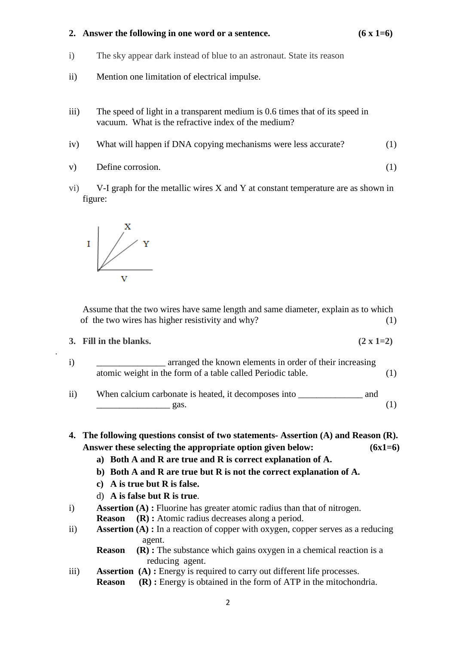# **2. Answer the following in one word or a sentence. (6 x 1=6)**

- i) The sky appear dark instead of blue to an astronaut. State its reason
- ii) Mention one limitation of electrical impulse.
- iii) The speed of light in a transparent medium is 0.6 times that of its speed in vacuum. What is the refractive index of the medium?
- iv) What will happen if DNA copying mechanisms were less accurate? (1)
- v) Define corrosion. (1)
- vi) V-I graph for the metallic wires X and Y at constant temperature are as shown in figure:



 Assume that the two wires have same length and same diameter, explain as to which of the two wires has higher resistivity and why? (1)

#### **3.** Fill in the blanks.  $(2 \times 1=2)$

.

- i) arranged the known elements in order of their increasing atomic weight in the form of a table called Periodic table. (1)
- ii) When calcium carbonate is heated, it decomposes into \_\_\_\_\_\_\_\_\_\_\_\_\_\_ and  $\Box$  gas. (1)

**4. The following questions consist of two statements- Assertion (A) and Reason (R). Answer these selecting the appropriate option given below: (6x1=6)**

- **a) Both A and R are true and R is correct explanation of A.**
- **b) Both A and R are true but R is not the correct explanation of A.**
- **c) A is true but R is false.**
- d) **A is false but R is true**.
- i) **Assertion (A) :** Fluorine has greater atomic radius than that of nitrogen.
	- **Reason (R) :** Atomic radius decreases along a period.
- ii) **Assertion (A) :** In a reaction of copper with oxygen, copper serves as a reducing agent.
	- **Reason** (R) **:** The substance which gains oxygen in a chemical reaction is a reducing agent.
- iii) **Assertion (A) :** Energy is required to carry out different life processes. **Reason** (R) **:** Energy is obtained in the form of ATP in the mitochondria.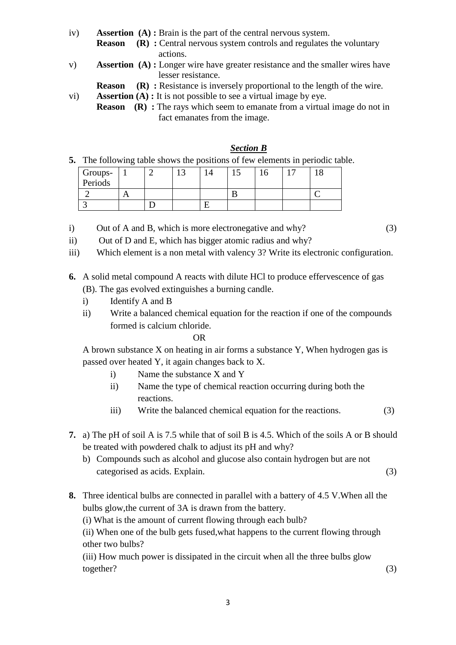- iv) **Assertion (A) :** Brain is the part of the central nervous system.
	- **Reason** (R) : Central nervous system controls and regulates the voluntary actions.
- v) **Assertion (A) :** Longer wire have greater resistance and the smaller wires have lesser resistance.
	- **Reason** (R) : Resistance is inversely proportional to the length of the wire.
- vi) **Assertion (A) :** It is not possible to see a virtual image by eye.
	- **Reason** (R) : The rays which seem to emanate from a virtual image do not in fact emanates from the image.

# *Section B*

**5.** The following table shows the positions of few elements in periodic table.

| Groups-<br>Periods |  | ت | ⊥ັ |  |  |
|--------------------|--|---|----|--|--|
|                    |  |   |    |  |  |
|                    |  |   |    |  |  |

i) Out of A and B, which is more electronegative and why? (3)

- ii) Out of D and E, which has bigger atomic radius and why?
- iii) Which element is a non metal with valency 3? Write its electronic configuration.

# **6.** A solid metal compound A reacts with dilute HCl to produce effervescence of gas (B). The gas evolved extinguishes a burning candle.

- i) Identify A and B
- ii) Write a balanced chemical equation for the reaction if one of the compounds formed is calcium chloride.

## OR

A brown substance X on heating in air forms a substance Y, When hydrogen gas is passed over heated Y, it again changes back to X.

- i) Name the substance X and Y
- ii) Name the type of chemical reaction occurring during both the reactions.
- iii) Write the balanced chemical equation for the reactions. (3)
- **7.** a) The pH of soil A is 7.5 while that of soil B is 4.5. Which of the soils A or B should be treated with powdered chalk to adjust its pH and why?
	- b) Compounds such as alcohol and glucose also contain hydrogen but are not categorised as acids. Explain. (3)
- **8.** Three identical bulbs are connected in parallel with a battery of 4.5 V.When all the bulbs glow,the current of 3A is drawn from the battery.

(i) What is the amount of current flowing through each bulb?

(ii) When one of the bulb gets fused,what happens to the current flowing through other two bulbs?

(iii) How much power is dissipated in the circuit when all the three bulbs glow together? (3)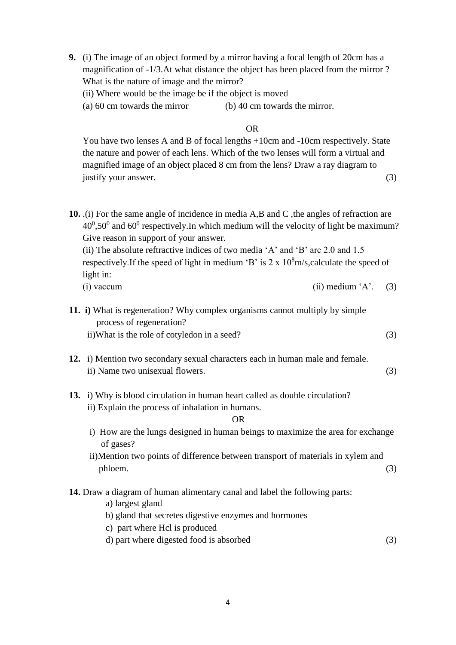- **9.** (i) The image of an object formed by a mirror having a focal length of 20cm has a magnification of -1/3.At what distance the object has been placed from the mirror ? What is the nature of image and the mirror?
	- (ii) Where would be the image be if the object is moved
	- (a) 60 cm towards the mirror (b) 40 cm towards the mirror.

## **OR** STREET STREET AND THE STREET STREET STREET AND THE STREET STREET STREET AND THE STREET STREET STREET STREET AND THE STREET STREET AND THE STREET AND THE STREET AND THE STREET AND THE STREET AND THE STREET AND THE STRE

You have two lenses A and B of focal lengths +10cm and -10cm respectively. State the nature and power of each lens. Which of the two lenses will form a virtual and magnified image of an object placed 8 cm from the lens? Draw a ray diagram to justify your answer.  $(3)$ 

**10.** .(i) For the same angle of incidence in media A,B and C ,the angles of refraction are  $40^0,50^0$  and  $60^0$  respectively. In which medium will the velocity of light be maximum? Give reason in support of your answer. (ii) The absolute reftractive indices of two media 'A' and 'B' are 2.0 and 1.5 respectively. If the speed of light in medium 'B' is  $2 \times 10^8$  m/s, calculate the speed of light in: (i) vaccum (ii) medium 'A'. (3) **11. i)** What is regeneration? Why complex organisms cannot multiply by simple process of regeneration? ii)What is the role of cotyledon in a seed? (3) **12.** i) Mention two secondary sexual characters each in human male and female. ii) Name two unisexual flowers. (3) **13.** i) Why is blood circulation in human heart called as double circulation? ii) Explain the process of inhalation in humans. **OR** STREET IN THE STREET IS NOT THE STREET IN THE STREET IS NOT THE STREET IN THE STREET IS NOT THE STREET IN THE STREET IS NOT THE STREET IN THE STREET IS NOT THE STREET IN THE STREET IS NOT THE STREET IN THE STREET IS N i) How are the lungs designed in human beings to maximize the area for exchange of gases? ii)Mention two points of difference between transport of materials in xylem and

# **14.** Draw a diagram of human alimentary canal and label the following parts:

a) largest gland

- b) gland that secretes digestive enzymes and hormones
- c) part where Hcl is produced
- d) part where digested food is absorbed (3)

phloem. (3)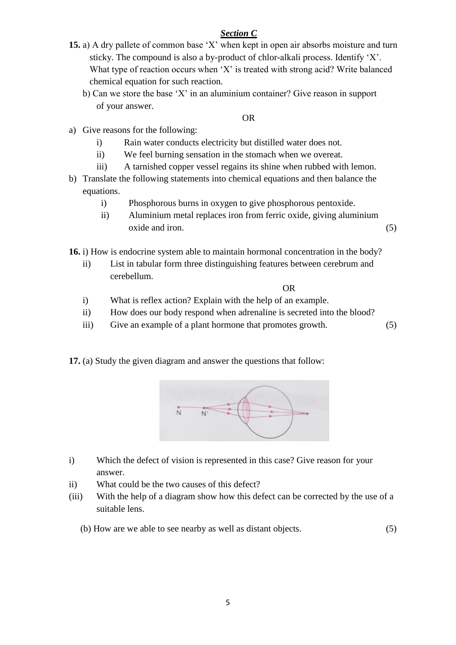## *Section C*

- **15.** a) A dry pallete of common base 'X' when kept in open air absorbs moisture and turn sticky. The compound is also a by-product of chlor-alkali process. Identify 'X'. What type of reaction occurs when 'X' is treated with strong acid? Write balanced chemical equation for such reaction.
	- b) Can we store the base 'X' in an aluminium container? Give reason in support of your answer.

## OR

- a) Give reasons for the following:
	- i) Rain water conducts electricity but distilled water does not.
	- ii) We feel burning sensation in the stomach when we overeat.
	- iii) A tarnished copper vessel regains its shine when rubbed with lemon.
- b) Translate the following statements into chemical equations and then balance the equations.
	- i) Phosphorous burns in oxygen to give phosphorous pentoxide.
	- ii) Aluminium metal replaces iron from ferric oxide, giving aluminium oxide and iron. (5)

**16.** i) How is endocrine system able to maintain hormonal concentration in the body?

ii) List in tabular form three distinguishing features between cerebrum and cerebellum.

**OR** STREET IN THE STREET IS NOT THE STREET IN THE STREET IS NOT THE STREET IN THE STREET IS NOT THE STREET IN THE STREET IS NOT THE STREET IN THE STREET IS NOT THE STREET IN THE STREET IS NOT THE STREET IN THE STREET IS N

- i) What is reflex action? Explain with the help of an example.
- ii) How does our body respond when adrenaline is secreted into the blood?
- iii) Give an example of a plant hormone that promotes growth. (5)

**17.** (a) Study the given diagram and answer the questions that follow:



- i) Which the defect of vision is represented in this case? Give reason for your answer.
- ii) What could be the two causes of this defect?
- (iii) With the help of a diagram show how this defect can be corrected by the use of a suitable lens.
	- (b) How are we able to see nearby as well as distant objects. (5)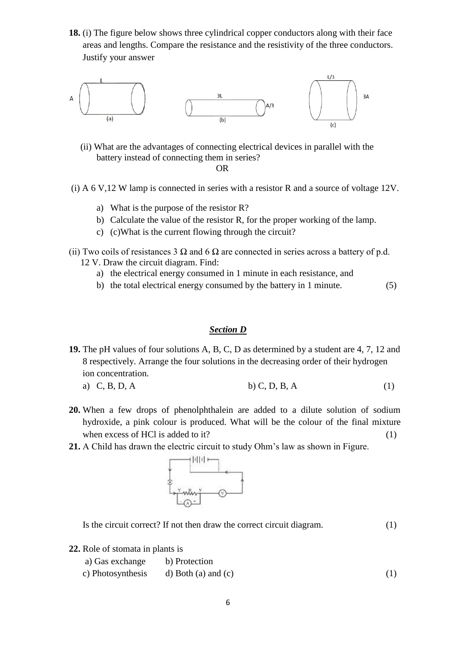**18.** (i) The figure below shows three cylindrical copper conductors along with their face areas and lengths. Compare the resistance and the resistivity of the three conductors. Justify your answer



- (ii) What are the advantages of connecting electrical devices in parallel with the battery instead of connecting them in series? **OR** STREET AND THE STREET ASSESSMENT AND THE STREET ASSESSMENT AND THE STREET ASSESSMENT AND THE STREET ASSESSMENT ASSESSMENT AND THE STREET ASSESSMENT ASSESSMENT AND THE STREET ASSESSMENT ASSESSMENT ASSESSMENT ASSESSMENT
	- (i) A 6 V,12 W lamp is connected in series with a resistor R and a source of voltage 12V.
		- a) What is the purpose of the resistor R?
		- b) Calculate the value of the resistor R, for the proper working of the lamp.
		- c) (c)What is the current flowing through the circuit?
	- (ii) Two coils of resistances 3  $\Omega$  and 6  $\Omega$  are connected in series across a battery of p.d. 12 V. Draw the circuit diagram. Find:
		- a) the electrical energy consumed in 1 minute in each resistance, and
		- b) the total electrical energy consumed by the battery in 1 minute. (5)

## *Section D*

- **19.** The pH values of four solutions A, B, C, D as determined by a student are 4, 7, 12 and 8 respectively. Arrange the four solutions in the decreasing order of their hydrogen ion concentration. a) C, B, D, A b) C, D, B, A (1)
- **20.** When a few drops of phenolphthalein are added to a dilute solution of sodium hydroxide, a pink colour is produced. What will be the colour of the final mixture when excess of HCl is added to it?  $(1)$
- **21.** A Child has drawn the electric circuit to study Ohm's law as shown in Figure.



Is the circuit correct? If not then draw the correct circuit diagram. (1)

**22.** Role of stomata in plants is

| a) Gas exchange                       | b) Protection |     |
|---------------------------------------|---------------|-----|
| c) Photosynthesis d) Both (a) and (c) |               | (1) |